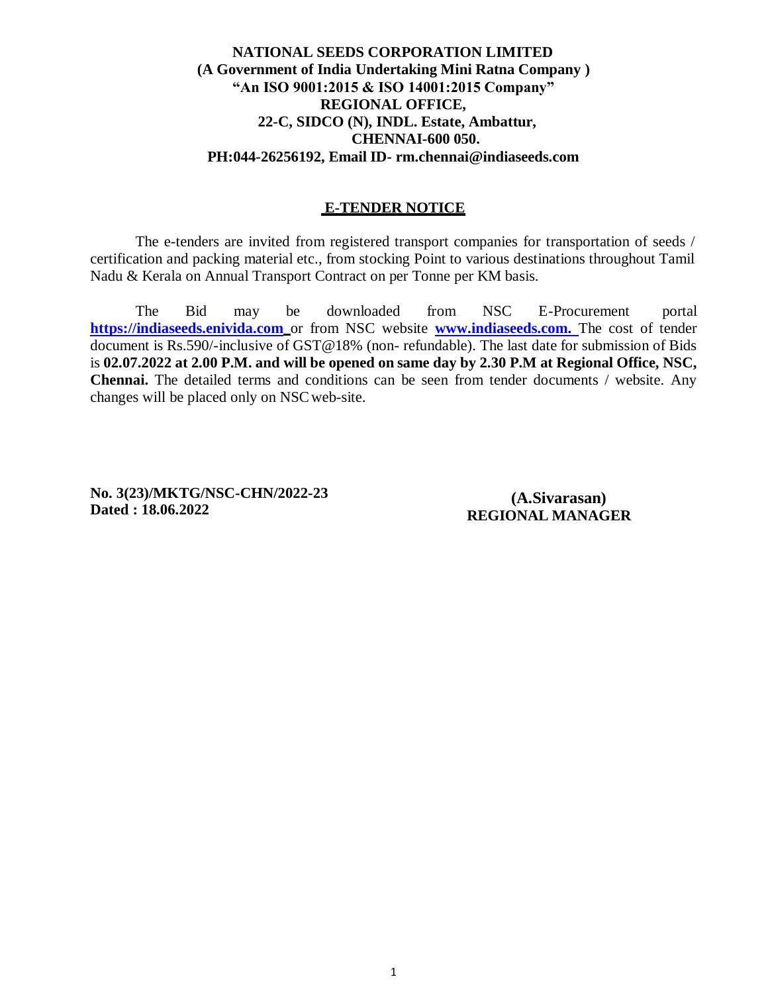#### **NATIONAL SEEDS CORPORATION LIMITED (A Government of India Undertaking Mini Ratna Company ) "An ISO 9001:2015 & ISO 14001:2015 Company" REGIONAL OFFICE, 22-C, SIDCO (N), INDL. Estate, Ambattur, CHENNAI-600 050. PH:044-26256192, Email ID- [rm.chennai@indiaseeds.com](mailto:rm.chennai@indiaseeds.com)**

#### **E-TENDER NOTICE**

The e-tenders are invited from registered transport companies for transportation of seeds / certification and packing material etc., from stocking Point to various destinations throughout Tamil Nadu & Kerala on Annual Transport Contract on per Tonne per KM basis.

The Bid may be downloaded from NSC E-Procurement portal [https://indiaseeds.enivida.com](https://indiaseeds.enivida.com/)\_or from NSC website **[www.indiaseeds.com.](http://www.indiaseeds.com/)** The cost of tender document is Rs.590/-inclusive of GST@18% (non- refundable). The last date for submission of Bids is **02.07.2022 at 2.00 P.M. and will be opened on same day by 2.30 P.M at Regional Office, NSC, Chennai.** The detailed terms and conditions can be seen from tender documents / website. Any changes will be placed only on NSCweb-site.

**No. 3(23)/MKTG/NSC-CHN/2022-23 Dated : 18.06.2022**

**(A.Sivarasan) REGIONAL MANAGER**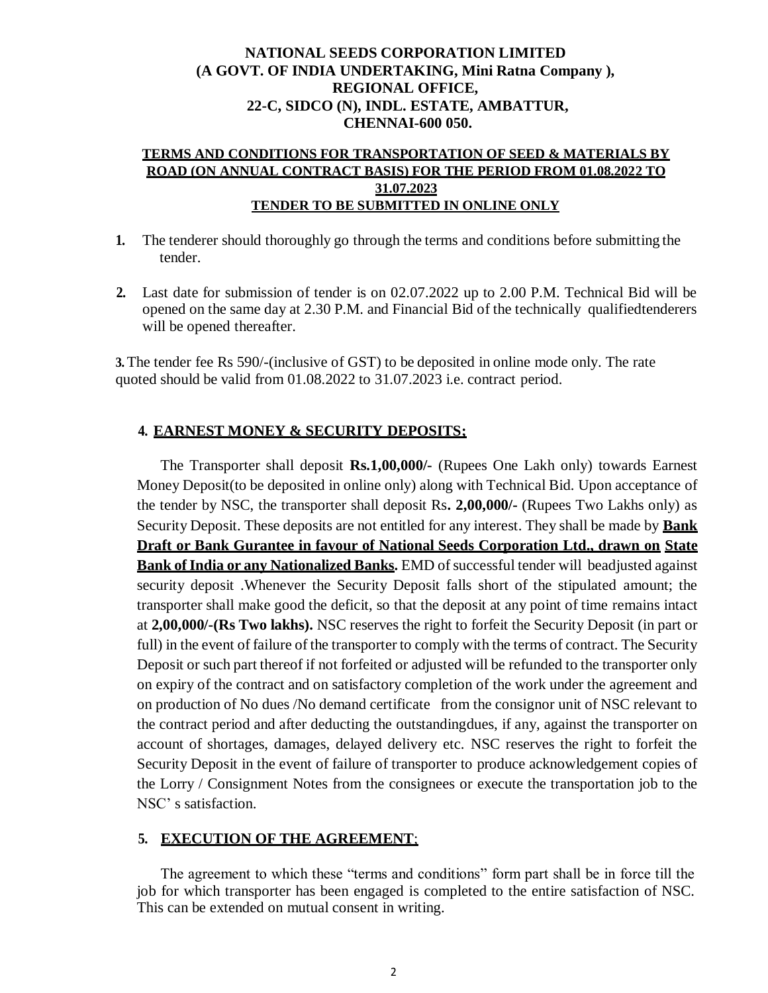#### **NATIONAL SEEDS CORPORATION LIMITED (A GOVT. OF INDIA UNDERTAKING, Mini Ratna Company ), REGIONAL OFFICE, 22-C, SIDCO (N), INDL. ESTATE, AMBATTUR, CHENNAI-600 050.**

#### **TERMS AND CONDITIONS FOR TRANSPORTATION OF SEED & MATERIALS BY ROAD (ON ANNUAL CONTRACT BASIS) FOR THE PERIOD FROM 01.08.2022 TO 31.07.2023 TENDER TO BE SUBMITTED IN ONLINE ONLY**

- **1.** The tenderer should thoroughly go through the terms and conditions before submitting the tender.
- **2.** Last date for submission of tender is on 02.07.2022 up to 2.00 P.M. Technical Bid will be opened on the same day at 2.30 P.M. and Financial Bid of the technically qualifiedtenderers will be opened thereafter.

**3.** The tender fee Rs 590/-(inclusive of GST) to be deposited in online mode only. The rate quoted should be valid from 01.08.2022 to 31.07.2023 i.e. contract period.

### **4. EARNEST MONEY & SECURITY DEPOSITS;**

The Transporter shall deposit **Rs.1,00,000/-** (Rupees One Lakh only) towards Earnest Money Deposit(to be deposited in online only) along with Technical Bid. Upon acceptance of the tender by NSC, the transporter shall deposit Rs**. 2,00,000/-** (Rupees Two Lakhs only) as Security Deposit. These deposits are not entitled for any interest. They shall be made by **Bank Draft or Bank Gurantee in favour of National Seeds Corporation Ltd., drawn on State Bank of India or any Nationalized Banks.** EMD of successful tender will beadjusted against security deposit .Whenever the Security Deposit falls short of the stipulated amount; the transporter shall make good the deficit, so that the deposit at any point of time remains intact at **2,00,000/-(Rs Two lakhs).** NSC reserves the right to forfeit the Security Deposit (in part or full) in the event of failure of the transporter to comply with the terms of contract. The Security Deposit or such part thereof if not forfeited or adjusted will be refunded to the transporter only on expiry of the contract and on satisfactory completion of the work under the agreement and on production of No dues /No demand certificate from the consignor unit of NSC relevant to the contract period and after deducting the outstandingdues, if any, against the transporter on account of shortages, damages, delayed delivery etc. NSC reserves the right to forfeit the Security Deposit in the event of failure of transporter to produce acknowledgement copies of the Lorry / Consignment Notes from the consignees or execute the transportation job to the NSC' s satisfaction.

### **5. EXECUTION OF THE AGREEMENT**;

The agreement to which these "terms and conditions" form part shall be in force till the job for which transporter has been engaged is completed to the entire satisfaction of NSC. This can be extended on mutual consent in writing.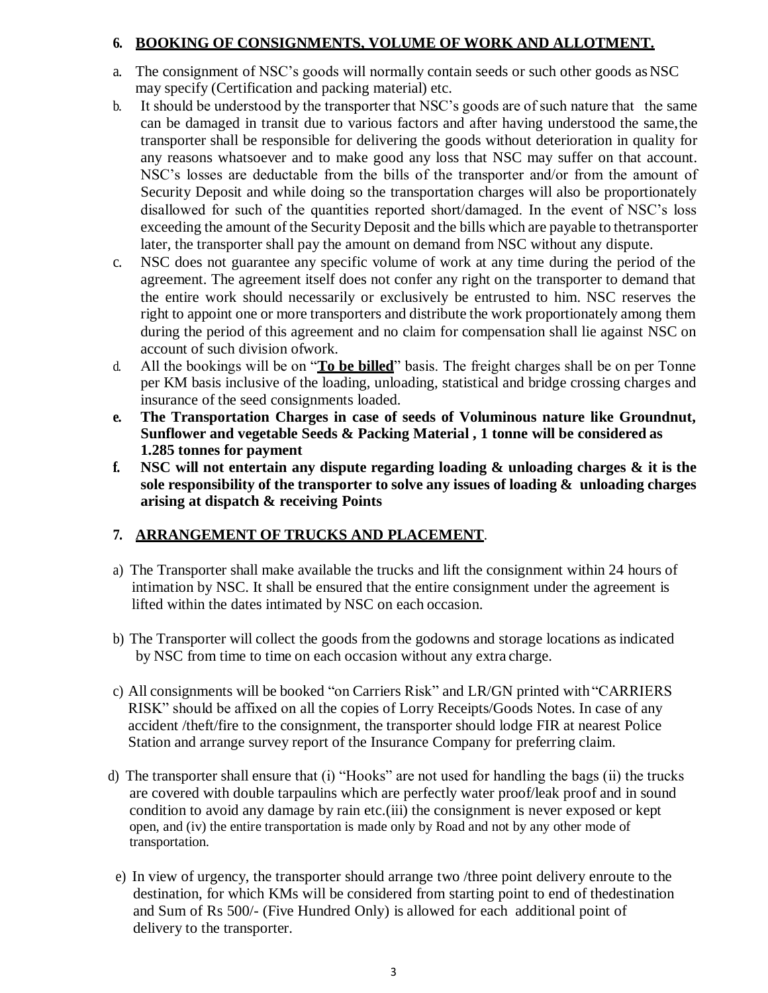#### **6. BOOKING OF CONSIGNMENTS, VOLUME OF WORK AND ALLOTMENT.**

- a. The consignment of NSC's goods will normally contain seeds or such other goods asNSC may specify (Certification and packing material) etc.
- b. It should be understood by the transporter that NSC's goods are of such nature that the same can be damaged in transit due to various factors and after having understood the same,the transporter shall be responsible for delivering the goods without deterioration in quality for any reasons whatsoever and to make good any loss that NSC may suffer on that account. NSC's losses are deductable from the bills of the transporter and/or from the amount of Security Deposit and while doing so the transportation charges will also be proportionately disallowed for such of the quantities reported short/damaged. In the event of NSC's loss exceeding the amount of the Security Deposit and the bills which are payable to thetransporter later, the transporter shall pay the amount on demand from NSC without any dispute.
- c. NSC does not guarantee any specific volume of work at any time during the period of the agreement. The agreement itself does not confer any right on the transporter to demand that the entire work should necessarily or exclusively be entrusted to him. NSC reserves the right to appoint one or more transporters and distribute the work proportionately among them during the period of this agreement and no claim for compensation shall lie against NSC on account of such division ofwork.
- d. All the bookings will be on "**To be billed**" basis. The freight charges shall be on per Tonne per KM basis inclusive of the loading, unloading, statistical and bridge crossing charges and insurance of the seed consignments loaded.
- **e. The Transportation Charges in case of seeds of Voluminous nature like Groundnut, Sunflower and vegetable Seeds & Packing Material , 1 tonne will be considered as 1.285 tonnes for payment**
- **f. NSC will not entertain any dispute regarding loading & unloading charges & it is the sole responsibility of the transporter to solve any issues of loading & unloading charges arising at dispatch & receiving Points**

### **7. ARRANGEMENT OF TRUCKS AND PLACEMENT**.

- a) The Transporter shall make available the trucks and lift the consignment within 24 hours of intimation by NSC. It shall be ensured that the entire consignment under the agreement is lifted within the dates intimated by NSC on each occasion.
- b) The Transporter will collect the goods from the godowns and storage locations asindicated by NSC from time to time on each occasion without any extra charge.
- c) All consignments will be booked "on Carriers Risk" and LR/GN printed with "CARRIERS RISK" should be affixed on all the copies of Lorry Receipts/Goods Notes. In case of any accident /theft/fire to the consignment, the transporter should lodge FIR at nearest Police Station and arrange survey report of the Insurance Company for preferring claim.
- d) The transporter shall ensure that (i) "Hooks" are not used for handling the bags (ii) the trucks are covered with double tarpaulins which are perfectly water proof/leak proof and in sound condition to avoid any damage by rain etc.(iii) the consignment is never exposed or kept open, and (iv) the entire transportation is made only by Road and not by any other mode of transportation.
- e) In view of urgency, the transporter should arrange two /three point delivery enroute to the destination, for which KMs will be considered from starting point to end of thedestination and Sum of Rs 500/- (Five Hundred Only) is allowed for each additional point of delivery to the transporter.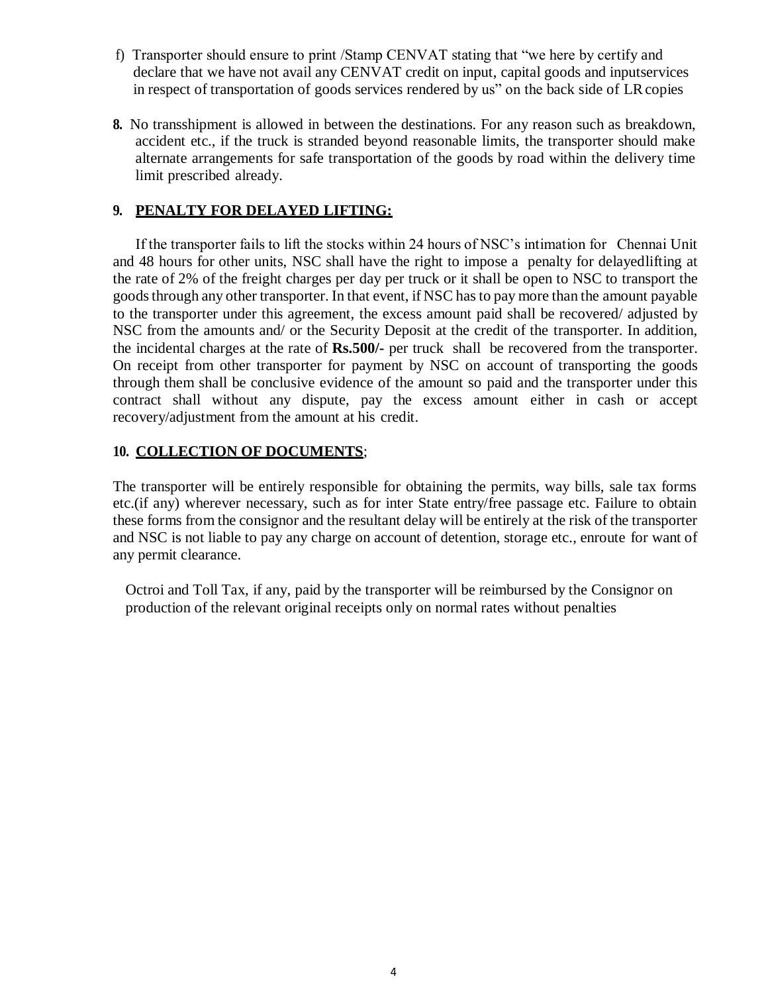- f) Transporter should ensure to print /Stamp CENVAT stating that "we here by certify and declare that we have not avail any CENVAT credit on input, capital goods and inputservices in respect of transportation of goods services rendered by us" on the back side of LRcopies
- **8.** No transshipment is allowed in between the destinations. For any reason such as breakdown, accident etc., if the truck is stranded beyond reasonable limits, the transporter should make alternate arrangements for safe transportation of the goods by road within the delivery time limit prescribed already.

### **9. PENALTY FOR DELAYED LIFTING:**

If the transporter fails to lift the stocks within 24 hours of NSC's intimation for Chennai Unit and 48 hours for other units, NSC shall have the right to impose a penalty for delayedlifting at the rate of 2% of the freight charges per day per truck or it shall be open to NSC to transport the goods through any other transporter. In that event, if NSC has to pay more than the amount payable to the transporter under this agreement, the excess amount paid shall be recovered/ adjusted by NSC from the amounts and/ or the Security Deposit at the credit of the transporter. In addition, the incidental charges at the rate of **Rs.500/-** per truck shall be recovered from the transporter. On receipt from other transporter for payment by NSC on account of transporting the goods through them shall be conclusive evidence of the amount so paid and the transporter under this contract shall without any dispute, pay the excess amount either in cash or accept recovery/adjustment from the amount at his credit.

### **10. COLLECTION OF DOCUMENTS**;

The transporter will be entirely responsible for obtaining the permits, way bills, sale tax forms etc.(if any) wherever necessary, such as for inter State entry/free passage etc. Failure to obtain these forms from the consignor and the resultant delay will be entirely at the risk of the transporter and NSC is not liable to pay any charge on account of detention, storage etc., enroute for want of any permit clearance.

Octroi and Toll Tax, if any, paid by the transporter will be reimbursed by the Consignor on production of the relevant original receipts only on normal rates without penalties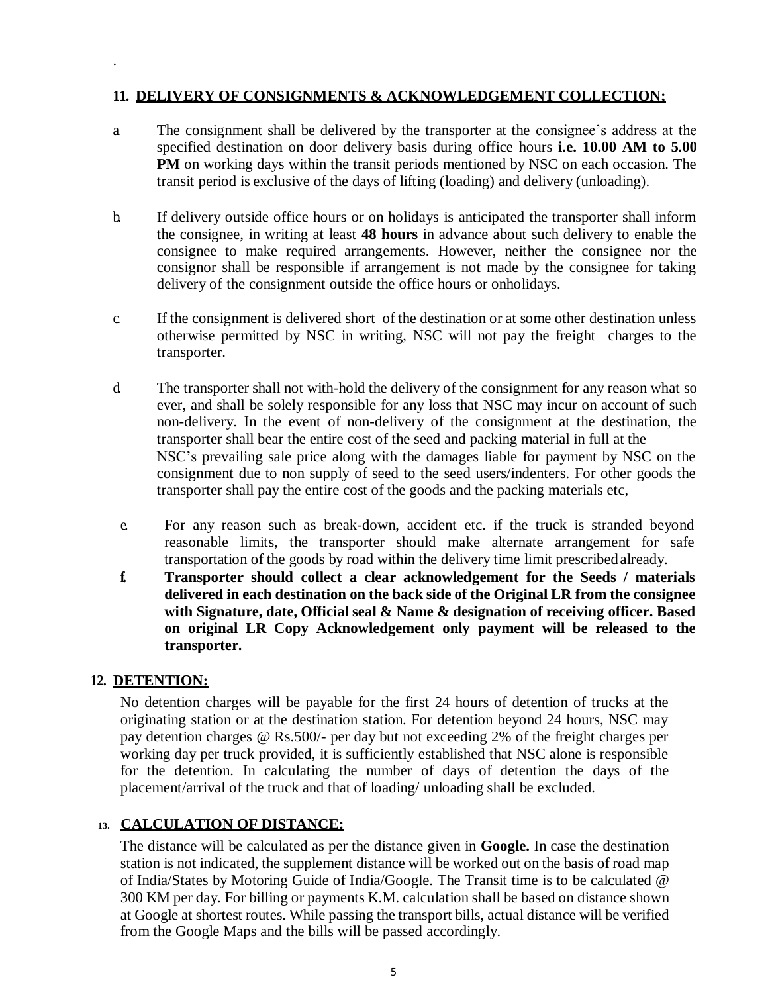#### **11. DELIVERY OF CONSIGNMENTS & ACKNOWLEDGEMENT COLLECTION;**

- a. The consignment shall be delivered by the transporter at the consignee's address at the specified destination on door delivery basis during office hours **i.e. 10.00 AM to 5.00 PM** on working days within the transit periods mentioned by NSC on each occasion. The transit period is exclusive of the days of lifting (loading) and delivery (unloading).
- b. If delivery outside office hours or on holidays is anticipated the transporter shall inform the consignee, in writing at least **48 hours** in advance about such delivery to enable the consignee to make required arrangements. However, neither the consignee nor the consignor shall be responsible if arrangement is not made by the consignee for taking delivery of the consignment outside the office hours or onholidays.
- c. If the consignment is delivered short of the destination or at some other destination unless otherwise permitted by NSC in writing, NSC will not pay the freight charges to the transporter.
- d. The transporter shall not with-hold the delivery of the consignment for any reason what so ever, and shall be solely responsible for any loss that NSC may incur on account of such non-delivery. In the event of non-delivery of the consignment at the destination, the transporter shall bear the entire cost of the seed and packing material in full at the NSC's prevailing sale price along with the damages liable for payment by NSC on the consignment due to non supply of seed to the seed users/indenters. For other goods the transporter shall pay the entire cost of the goods and the packing materials etc,
- e. For any reason such as break-down, accident etc. if the truck is stranded beyond reasonable limits, the transporter should make alternate arrangement for safe transportation of the goods by road within the delivery time limit prescribedalready.
- **f. Transporter should collect a clear acknowledgement for the Seeds / materials delivered in each destination on the back side of the Original LR from the consignee with Signature, date, Official seal & Name & designation of receiving officer. Based on original LR Copy Acknowledgement only payment will be released to the transporter.**

### **12. DETENTION:**

.

No detention charges will be payable for the first 24 hours of detention of trucks at the originating station or at the destination station. For detention beyond 24 hours, NSC may pay detention charges @ Rs.500/- per day but not exceeding 2% of the freight charges per working day per truck provided, it is sufficiently established that NSC alone is responsible for the detention. In calculating the number of days of detention the days of the placement/arrival of the truck and that of loading/ unloading shall be excluded.

### **13. CALCULATION OF DISTANCE:**

The distance will be calculated as per the distance given in **Google.** In case the destination station is not indicated, the supplement distance will be worked out on the basis of road map of India/States by Motoring Guide of India/Google. The Transit time is to be calculated @ 300 KM per day. For billing or payments K.M. calculation shall be based on distance shown at Google at shortest routes. While passing the transport bills, actual distance will be verified from the Google Maps and the bills will be passed accordingly.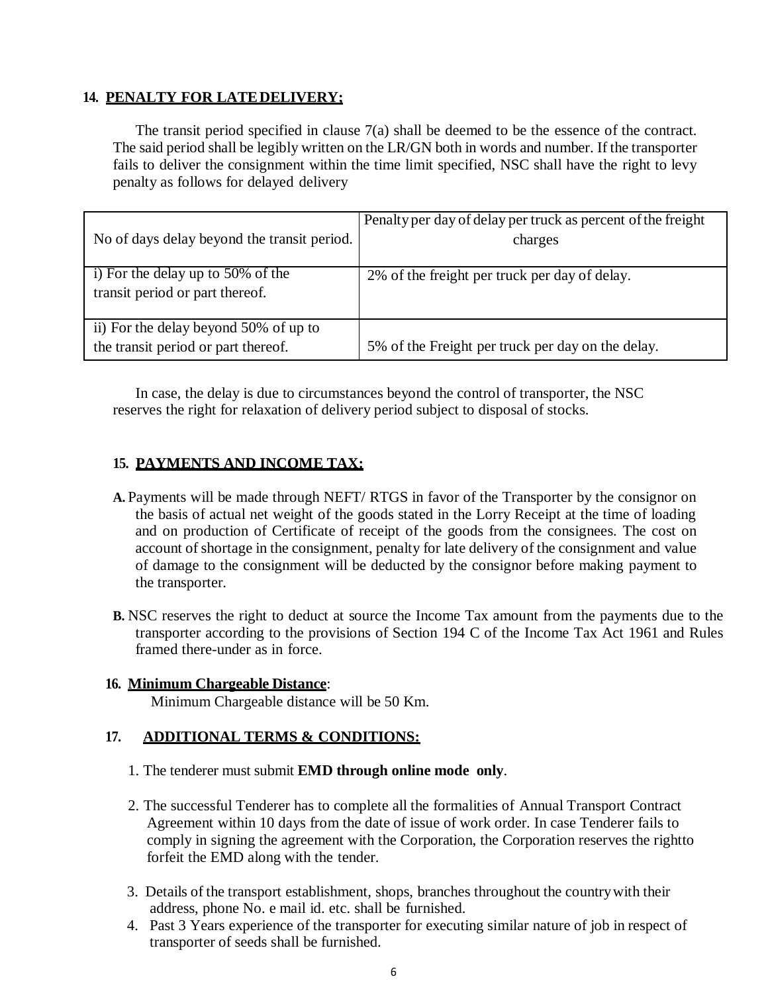#### **14. PENALTY FOR LATEDELIVERY;**

The transit period specified in clause 7(a) shall be deemed to be the essence of the contract. The said period shall be legibly written on the LR/GN both in words and number. If the transporter fails to deliver the consignment within the time limit specified, NSC shall have the right to levy penalty as follows for delayed delivery

| No of days delay beyond the transit period.                                  | Penalty per day of delay per truck as percent of the freight<br>charges |
|------------------------------------------------------------------------------|-------------------------------------------------------------------------|
| i) For the delay up to 50% of the<br>transit period or part thereof.         | 2% of the freight per truck per day of delay.                           |
| ii) For the delay beyond 50% of up to<br>the transit period or part thereof. | 5% of the Freight per truck per day on the delay.                       |

In case, the delay is due to circumstances beyond the control of transporter, the NSC reserves the right for relaxation of delivery period subject to disposal of stocks.

### **15. PAYMENTS AND INCOME TAX:**

- **A.** Payments will be made through NEFT/ RTGS in favor of the Transporter by the consignor on the basis of actual net weight of the goods stated in the Lorry Receipt at the time of loading and on production of Certificate of receipt of the goods from the consignees. The cost on account of shortage in the consignment, penalty for late delivery of the consignment and value of damage to the consignment will be deducted by the consignor before making payment to the transporter.
- **B.** NSC reserves the right to deduct at source the Income Tax amount from the payments due to the transporter according to the provisions of Section 194 C of the Income Tax Act 1961 and Rules framed there-under as in force.

### **16. Minimum Chargeable Distance**:

Minimum Chargeable distance will be 50 Km.

#### **17. ADDITIONAL TERMS & CONDITIONS:**

- 1. The tenderer must submit **EMD through online mode only**.
- 2. The successful Tenderer has to complete all the formalities of Annual Transport Contract Agreement within 10 days from the date of issue of work order. In case Tenderer fails to comply in signing the agreement with the Corporation, the Corporation reserves the rightto forfeit the EMD along with the tender.
- 3. Details of the transport establishment, shops, branches throughout the countrywith their address, phone No. e mail id. etc. shall be furnished.
- 4. Past 3 Years experience of the transporter for executing similar nature of job in respect of transporter of seeds shall be furnished.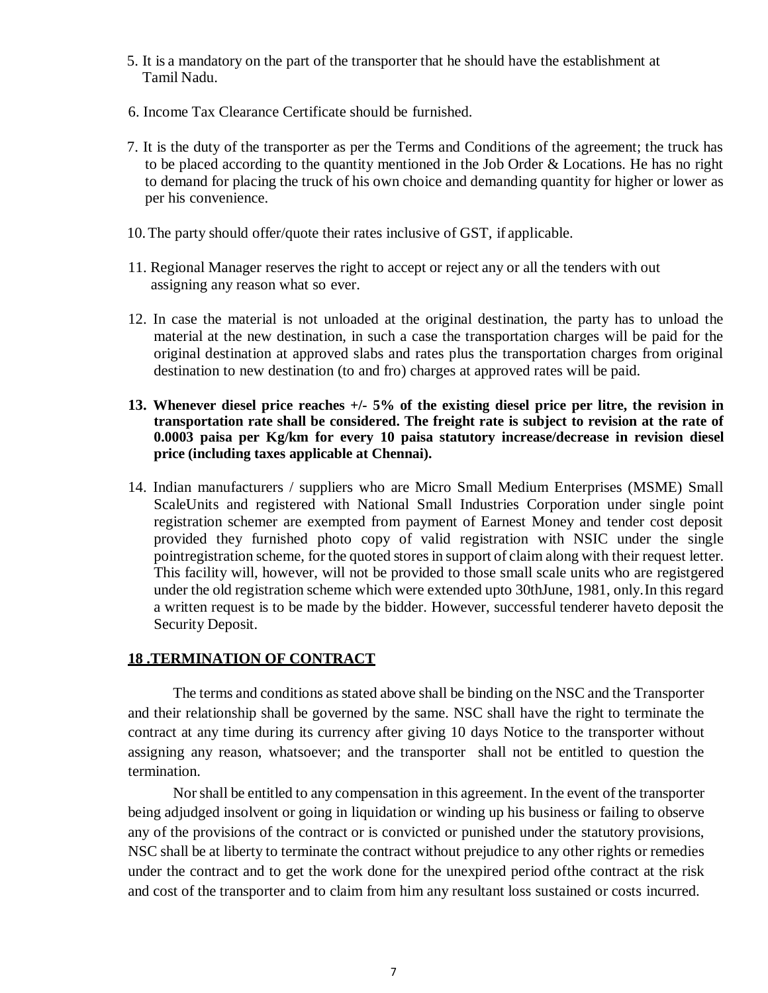- 5. It is a mandatory on the part of the transporter that he should have the establishment at Tamil Nadu.
- 6. Income Tax Clearance Certificate should be furnished.
- 7. It is the duty of the transporter as per the Terms and Conditions of the agreement; the truck has to be placed according to the quantity mentioned in the Job Order & Locations. He has no right to demand for placing the truck of his own choice and demanding quantity for higher or lower as per his convenience.
- 10.The party should offer/quote their rates inclusive of GST, if applicable.
- 11. Regional Manager reserves the right to accept or reject any or all the tenders with out assigning any reason what so ever.
- 12. In case the material is not unloaded at the original destination, the party has to unload the material at the new destination, in such a case the transportation charges will be paid for the original destination at approved slabs and rates plus the transportation charges from original destination to new destination (to and fro) charges at approved rates will be paid.
- **13. Whenever diesel price reaches +/- 5% of the existing diesel price per litre, the revision in transportation rate shall be considered. The freight rate is subject to revision at the rate of 0.0003 paisa per Kg/km for every 10 paisa statutory increase/decrease in revision diesel price (including taxes applicable at Chennai).**
- 14. Indian manufacturers / suppliers who are Micro Small Medium Enterprises (MSME) Small ScaleUnits and registered with National Small Industries Corporation under single point registration schemer are exempted from payment of Earnest Money and tender cost deposit provided they furnished photo copy of valid registration with NSIC under the single pointregistration scheme, for the quoted stores in support of claim along with their request letter. This facility will, however, will not be provided to those small scale units who are registgered under the old registration scheme which were extended upto 30thJune, 1981, only.In this regard a written request is to be made by the bidder. However, successful tenderer haveto deposit the Security Deposit.

#### **18 .TERMINATION OF CONTRACT**

The terms and conditions asstated above shall be binding on the NSC and the Transporter and their relationship shall be governed by the same. NSC shall have the right to terminate the contract at any time during its currency after giving 10 days Notice to the transporter without assigning any reason, whatsoever; and the transporter shall not be entitled to question the termination.

Norshall be entitled to any compensation in this agreement. In the event of the transporter being adjudged insolvent or going in liquidation or winding up his business or failing to observe any of the provisions of the contract or is convicted or punished under the statutory provisions, NSC shall be at liberty to terminate the contract without prejudice to any other rights or remedies under the contract and to get the work done for the unexpired period ofthe contract at the risk and cost of the transporter and to claim from him any resultant loss sustained or costs incurred.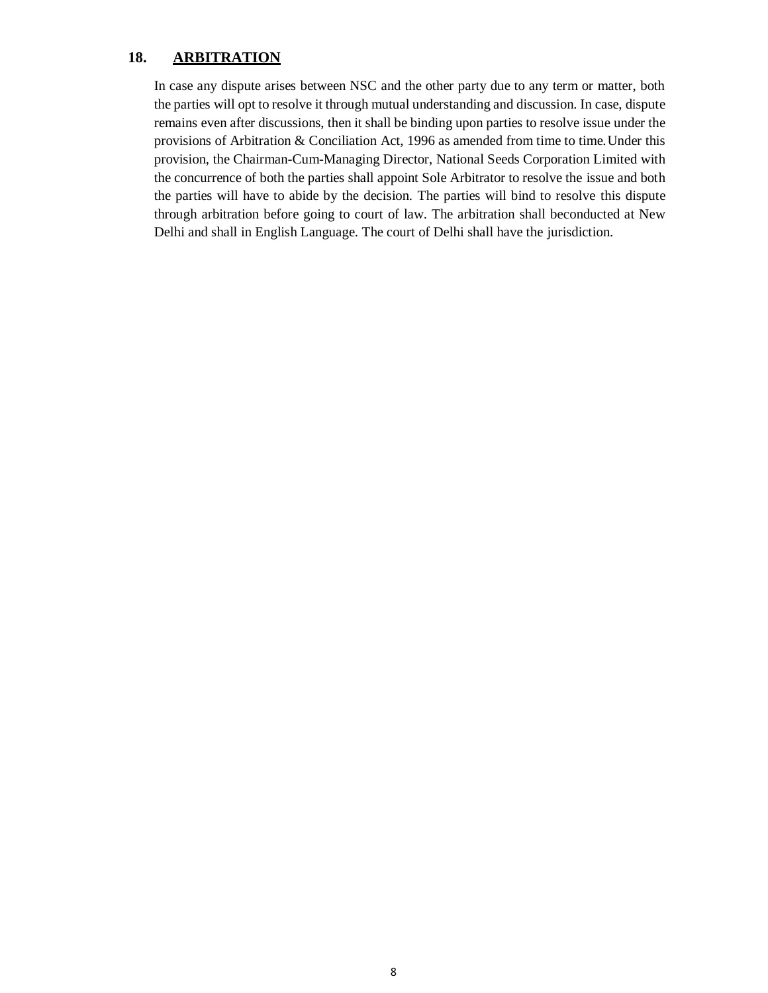### **18. ARBITRATION**

In case any dispute arises between NSC and the other party due to any term or matter, both the parties will opt to resolve it through mutual understanding and discussion. In case, dispute remains even after discussions, then it shall be binding upon parties to resolve issue under the provisions of Arbitration & Conciliation Act, 1996 as amended from time to time.Under this provision, the Chairman-Cum-Managing Director, National Seeds Corporation Limited with the concurrence of both the parties shall appoint Sole Arbitrator to resolve the issue and both the parties will have to abide by the decision. The parties will bind to resolve this dispute through arbitration before going to court of law. The arbitration shall beconducted at New Delhi and shall in English Language. The court of Delhi shall have the jurisdiction.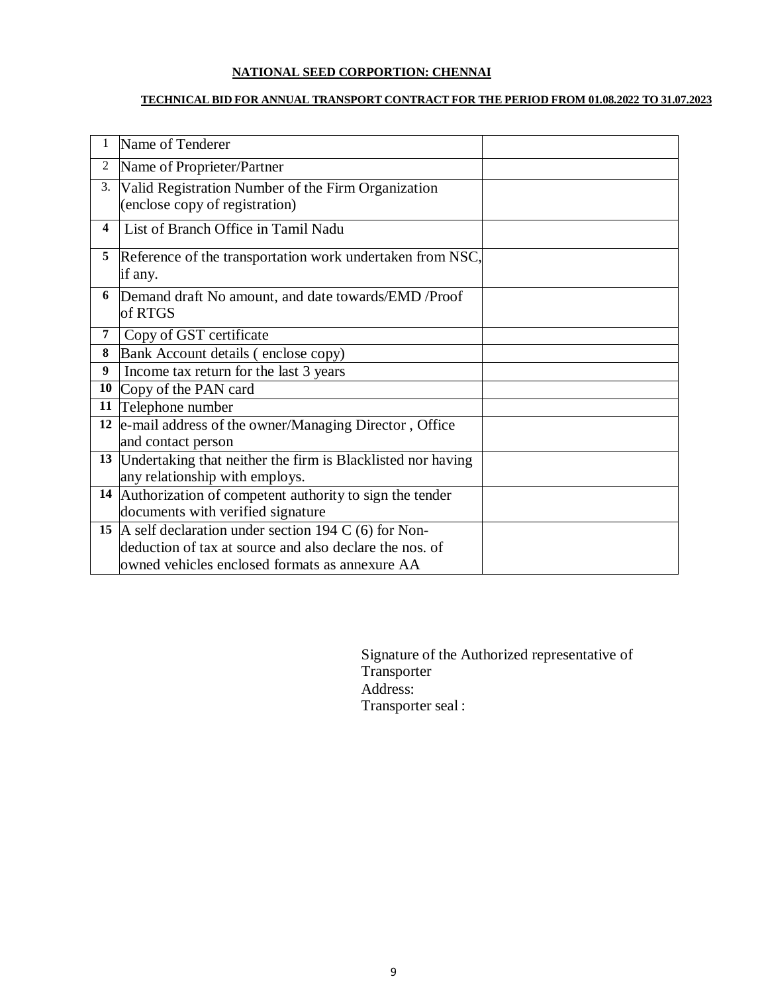### **NATIONAL SEED CORPORTION: CHENNAI**

#### **TECHNICAL BID FOR ANNUAL TRANSPORT CONTRACT FOR THE PERIOD FROM 01.08.2022 TO 31.07.2023**

|                         | Name of Tenderer                                                                                                                                                      |  |
|-------------------------|-----------------------------------------------------------------------------------------------------------------------------------------------------------------------|--|
| 2                       | Name of Proprieter/Partner                                                                                                                                            |  |
| 3.                      | Valid Registration Number of the Firm Organization<br>(enclose copy of registration)                                                                                  |  |
| $\overline{\mathbf{4}}$ | List of Branch Office in Tamil Nadu                                                                                                                                   |  |
| 5                       | Reference of the transportation work undertaken from NSC,<br>if any.                                                                                                  |  |
| 6                       | Demand draft No amount, and date towards/EMD / Proof<br>of RTGS                                                                                                       |  |
| 7                       | Copy of GST certificate                                                                                                                                               |  |
| 8                       | Bank Account details (enclose copy)                                                                                                                                   |  |
| 9                       | Income tax return for the last 3 years                                                                                                                                |  |
| 10                      | Copy of the PAN card                                                                                                                                                  |  |
| 11                      | Telephone number                                                                                                                                                      |  |
| 12                      | e-mail address of the owner/Managing Director, Office<br>and contact person                                                                                           |  |
| 13                      | Undertaking that neither the firm is Blacklisted nor having<br>any relationship with employs.                                                                         |  |
| 14                      | Authorization of competent authority to sign the tender<br>documents with verified signature                                                                          |  |
|                         | 15   A self declaration under section 194 C (6) for Non-<br>deduction of tax at source and also declare the nos. of<br>owned vehicles enclosed formats as annexure AA |  |

Signature of the Authorized representative of Transporter Address: Transporter seal :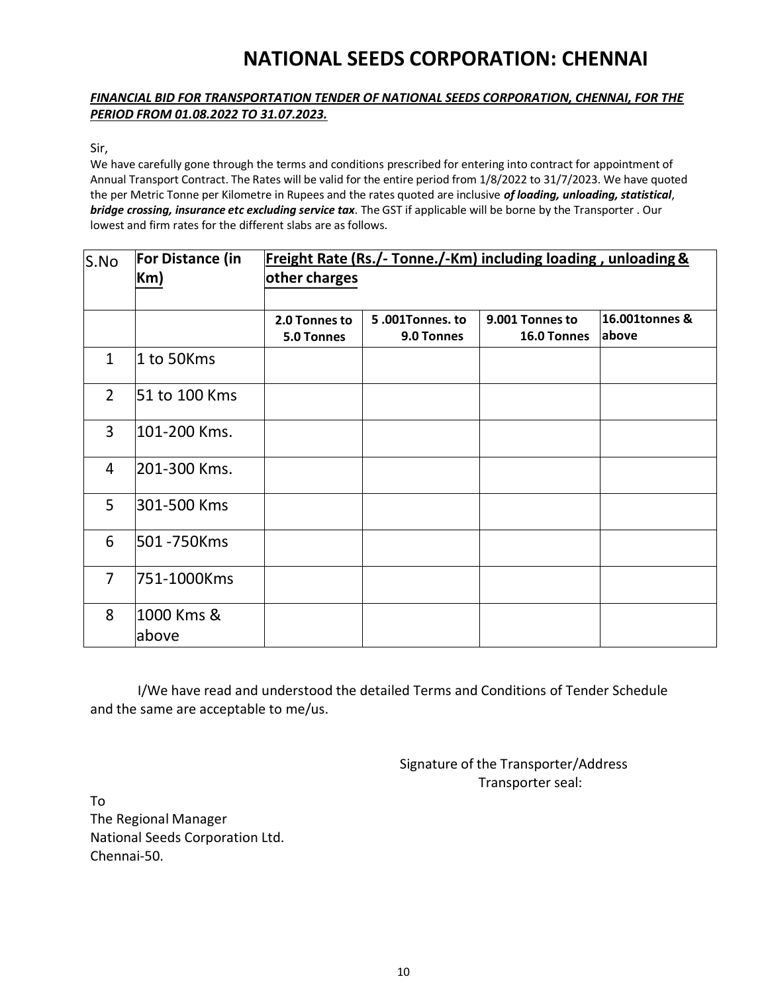# **NATIONAL SEEDS CORPORATION: CHENNAI**

#### *FINANCIAL BID FOR TRANSPORTATION TENDER OF NATIONAL SEEDS CORPORATION, CHENNAI, FOR THE PERIOD FROM 01.08.2022 TO 31.07.2023.*

Sir,

We have carefully gone through the terms and conditions prescribed for entering into contract for appointment of Annual Transport Contract. The Rates will be valid for the entire period from 1/8/2022 to 31/7/2023. We have quoted the per Metric Tonne per Kilometre in Rupees and the rates quoted are inclusive *of loading, unloading, statistical*, *bridge crossing, insurance etc excluding service tax*. The GST if applicable will be borne by the Transporter . Our lowest and firm rates for the different slabs are as follows.

| S.No           | <b>For Distance (in</b><br>Km | Freight Rate (Rs./- Tonne./-Km) including loading, unloading &<br>other charges |                              |                                |                          |
|----------------|-------------------------------|---------------------------------------------------------------------------------|------------------------------|--------------------------------|--------------------------|
|                |                               | 2.0 Tonnes to<br>5.0 Tonnes                                                     | 5.001Tonnes.to<br>9.0 Tonnes | 9.001 Tonnes to<br>16.0 Tonnes | 16.001tonnes &<br>labove |
| $\mathbf{1}$   | 1 to 50Kms                    |                                                                                 |                              |                                |                          |
| $\overline{2}$ | 51 to 100 Kms                 |                                                                                 |                              |                                |                          |
| $\overline{3}$ | 101-200 Kms.                  |                                                                                 |                              |                                |                          |
| 4              | 201-300 Kms.                  |                                                                                 |                              |                                |                          |
| 5              | 301-500 Kms                   |                                                                                 |                              |                                |                          |
| 6              | 501 -750Kms                   |                                                                                 |                              |                                |                          |
| $\overline{7}$ | 751-1000Kms                   |                                                                                 |                              |                                |                          |
| 8              | 1000 Kms &<br>above           |                                                                                 |                              |                                |                          |

I/We have read and understood the detailed Terms and Conditions of Tender Schedule and the same are acceptable to me/us.

> Signature of the Transporter/Address Transporter seal:

To The Regional Manager National Seeds Corporation Ltd. Chennai-50.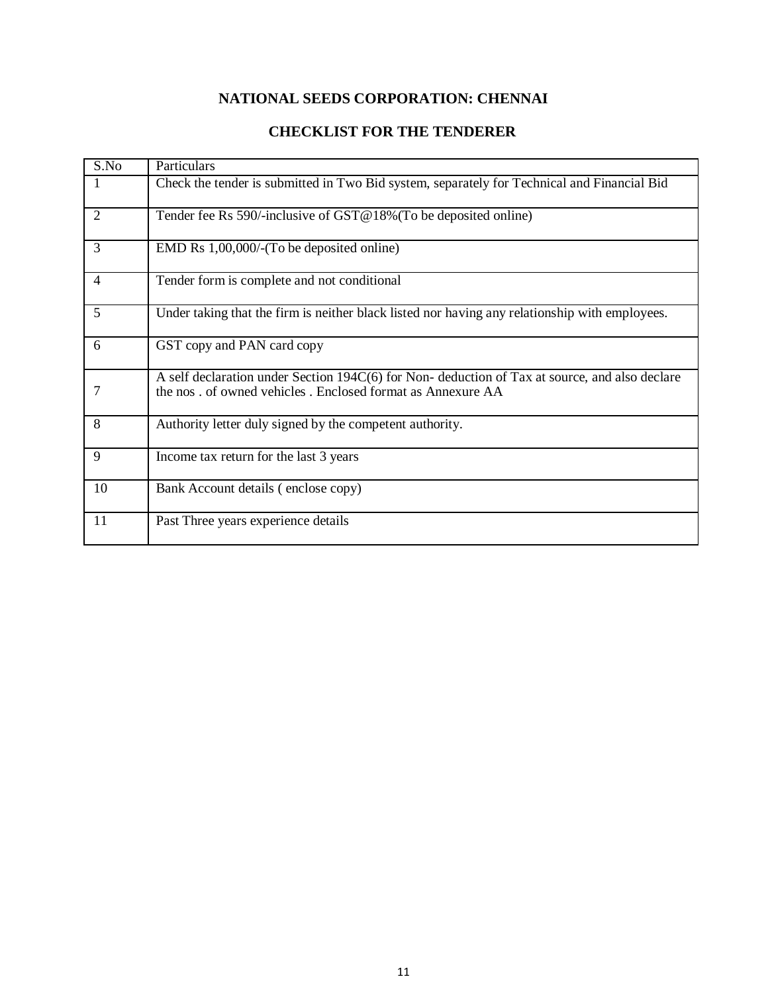# **NATIONAL SEEDS CORPORATION: CHENNAI**

### **CHECKLIST FOR THE TENDERER**

| S.No           | Particulars                                                                                                                                                 |
|----------------|-------------------------------------------------------------------------------------------------------------------------------------------------------------|
|                | Check the tender is submitted in Two Bid system, separately for Technical and Financial Bid                                                                 |
| $\overline{2}$ | Tender fee Rs 590/-inclusive of $GST@18\%$ (To be deposited online)                                                                                         |
| 3              | EMD Rs 1,00,000/-(To be deposited online)                                                                                                                   |
| $\overline{4}$ | Tender form is complete and not conditional                                                                                                                 |
| 5              | Under taking that the firm is neither black listed nor having any relationship with employees.                                                              |
| 6              | GST copy and PAN card copy                                                                                                                                  |
|                | A self declaration under Section 194C(6) for Non-deduction of Tax at source, and also declare<br>the nos. of owned vehicles. Enclosed format as Annexure AA |
| 8              | Authority letter duly signed by the competent authority.                                                                                                    |
| 9              | Income tax return for the last 3 years                                                                                                                      |
| 10             | Bank Account details (enclose copy)                                                                                                                         |
| 11             | Past Three years experience details                                                                                                                         |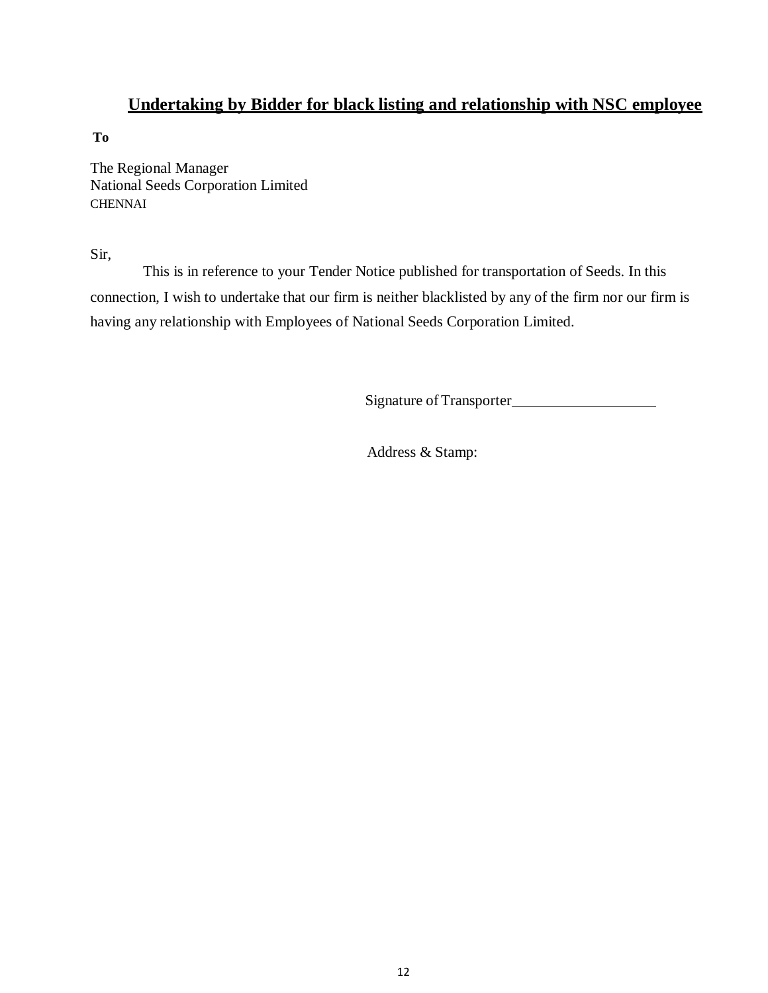# **Undertaking by Bidder for black listing and relationship with NSC employee**

**To**

The Regional Manager National Seeds Corporation Limited CHENNAI

Sir,

This is in reference to your Tender Notice published for transportation of Seeds. In this connection, I wish to undertake that our firm is neither blacklisted by any of the firm nor our firm is having any relationship with Employees of National Seeds Corporation Limited.

Signature of Transporter

Address & Stamp: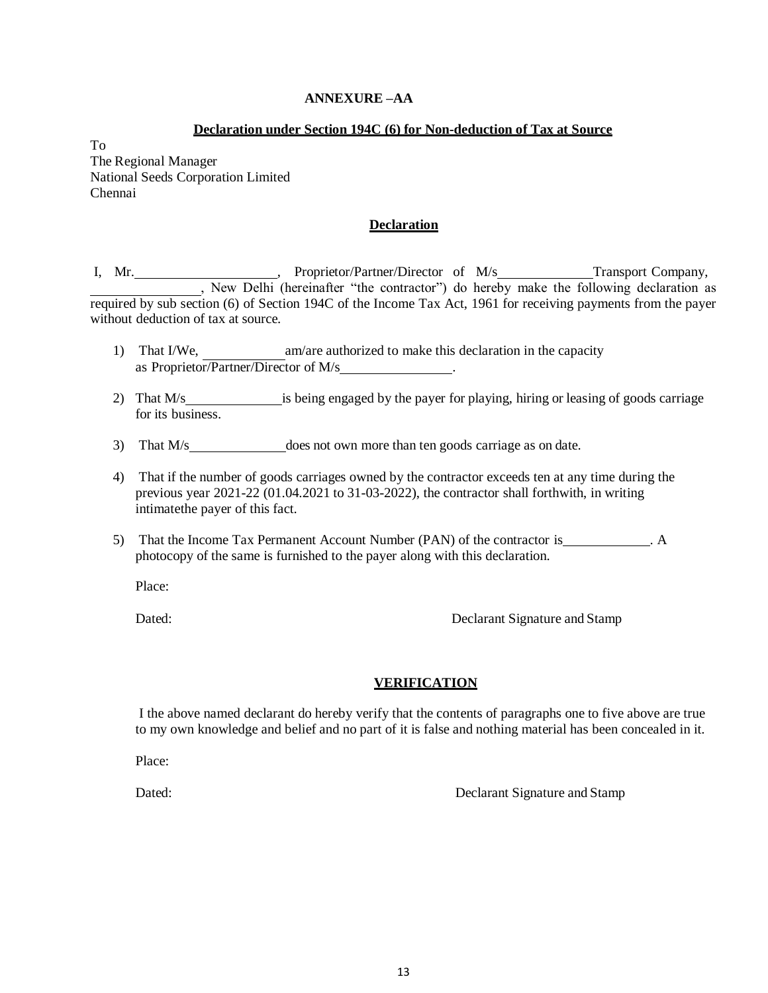#### **ANNEXURE –AA**

#### **Declaration under Section 194C (6) for Non-deduction of Tax at Source**

To The Regional Manager National Seeds Corporation Limited Chennai

#### **Declaration**

I, Mr. Transport Company, Proprietor/Partner/Director of M/s Transport Company, , New Delhi (hereinafter "the contractor") do hereby make the following declaration as required by sub section (6) of Section 194C of the Income Tax Act, 1961 for receiving payments from the payer without deduction of tax at source.

- 1) That I/We, am/are authorized to make this declaration in the capacity as Proprietor/Partner/Director of M/s .
- 2) That M/s is being engaged by the payer for playing, hiring or leasing of goods carriage for its business.
- 3) That M/s does not own more than ten goods carriage as on date.
- 4) That if the number of goods carriages owned by the contractor exceeds ten at any time during the previous year 2021-22 (01.04.2021 to 31-03-2022), the contractor shall forthwith, in writing intimatethe payer of this fact.
- 5) That the Income Tax Permanent Account Number (PAN) of the contractor is \_\_\_\_\_\_\_\_\_\_\_. A photocopy of the same is furnished to the payer along with this declaration.

Place:

Dated: Declarant Signature and Stamp

#### **VERIFICATION**

I the above named declarant do hereby verify that the contents of paragraphs one to five above are true to my own knowledge and belief and no part of it is false and nothing material has been concealed in it.

Place:

Dated: Dated: Declarant Signature and Stamp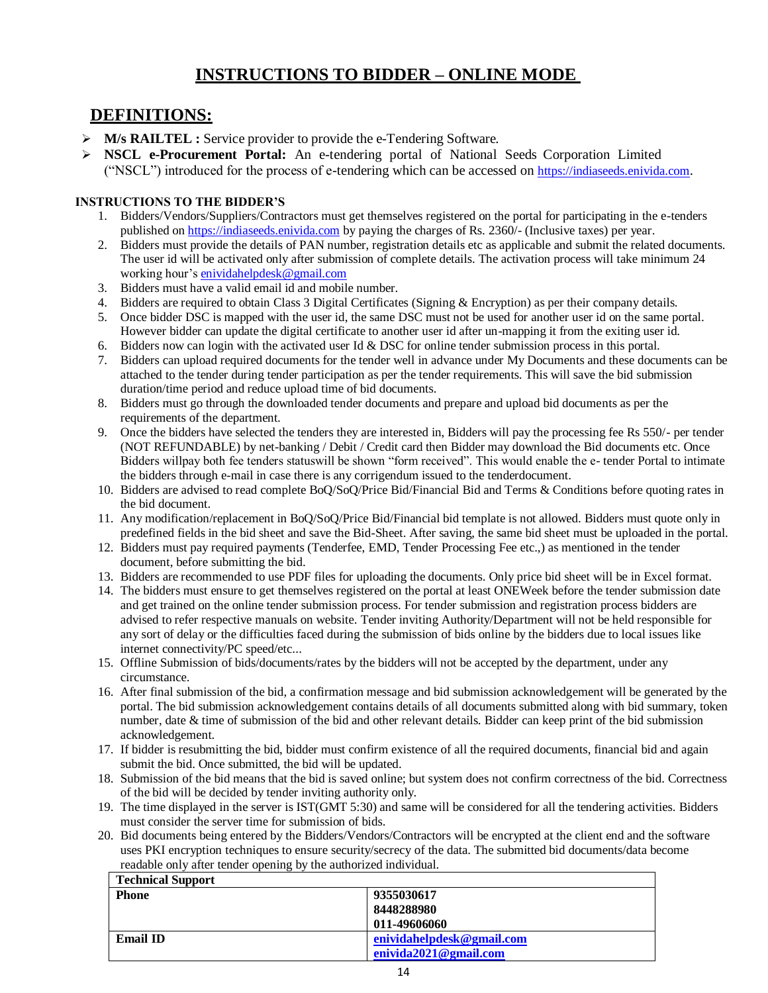# **INSTRUCTIONS TO BIDDER – ONLINE MODE**

# **DEFINITIONS:**

- **M/s RAILTEL :** Service provider to provide the e-Tendering Software.
- **NSCL e-Procurement Portal:** An e-tendering portal of National Seeds Corporation Limited ("NSCL") introduced for the process of e-tendering which can be accessed on [https://indiaseeds.enivida.com](https://indiaseeds.enivida.com/).

#### **INSTRUCTIONS TO THE BIDDER'S**

- 1. Bidders/Vendors/Suppliers/Contractors must get themselves registered on the portal for participating in the e-tenders published on [https://indiaseeds.enivida.com](https://indiaseeds.enivida.com/) by paying the charges of Rs. 2360/- (Inclusive taxes) per year.
- 2. Bidders must provide the details of PAN number, registration details etc as applicable and submit the related documents. The user id will be activated only after submission of complete details. The activation process will take minimum 24 working hour's [enividahelpdesk@gmail.com](https://indiaseeds.enivida.com/HomePage/loadSiteHomePage/83H8Sqhcs_akjXw_pkEuWw)
- 3. Bidders must have a valid email id and mobile number.
- 4. Bidders are required to obtain Class 3 Digital Certificates (Signing & Encryption) as per their company details.
- 5. Once bidder DSC is mapped with the user id, the same DSC must not be used for another user id on the same portal. However bidder can update the digital certificate to another user id after un-mapping it from the exiting user id.
- 6. Bidders now can login with the activated user Id & DSC for online tender submission process in this portal.
- 7. Bidders can upload required documents for the tender well in advance under My Documents and these documents can be attached to the tender during tender participation as per the tender requirements. This will save the bid submission duration/time period and reduce upload time of bid documents.
- 8. Bidders must go through the downloaded tender documents and prepare and upload bid documents as per the requirements of the department.
- 9. Once the bidders have selected the tenders they are interested in, Bidders will pay the processing fee Rs 550/- per tender (NOT REFUNDABLE) by net-banking / Debit / Credit card then Bidder may download the Bid documents etc. Once Bidders willpay both fee tenders statuswill be shown "form received". This would enable the e- tender Portal to intimate the bidders through e-mail in case there is any corrigendum issued to the tenderdocument.
- 10. Bidders are advised to read complete BoQ/SoQ/Price Bid/Financial Bid and Terms & Conditions before quoting rates in the bid document.
- 11. Any modification/replacement in BoQ/SoQ/Price Bid/Financial bid template is not allowed. Bidders must quote only in predefined fields in the bid sheet and save the Bid-Sheet. After saving, the same bid sheet must be uploaded in the portal.
- 12. Bidders must pay required payments (Tenderfee, EMD, Tender Processing Fee etc.,) as mentioned in the tender document, before submitting the bid.
- 13. Bidders are recommended to use PDF files for uploading the documents. Only price bid sheet will be in Excel format.
- 14. The bidders must ensure to get themselves registered on the portal at least ONEWeek before the tender submission date and get trained on the online tender submission process. For tender submission and registration process bidders are advised to refer respective manuals on website. Tender inviting Authority/Department will not be held responsible for any sort of delay or the difficulties faced during the submission of bids online by the bidders due to local issues like internet connectivity/PC speed/etc...
- 15. Offline Submission of bids/documents/rates by the bidders will not be accepted by the department, under any circumstance.
- 16. After final submission of the bid, a confirmation message and bid submission acknowledgement will be generated by the portal. The bid submission acknowledgement contains details of all documents submitted along with bid summary, token number, date & time of submission of the bid and other relevant details. Bidder can keep print of the bid submission acknowledgement.
- 17. If bidder is resubmitting the bid, bidder must confirm existence of all the required documents, financial bid and again submit the bid. Once submitted, the bid will be updated.
- 18. Submission of the bid means that the bid is saved online; but system does not confirm correctness of the bid. Correctness of the bid will be decided by tender inviting authority only.
- 19. The time displayed in the server is IST(GMT 5:30) and same will be considered for all the tendering activities. Bidders must consider the server time for submission of bids.
- 20. Bid documents being entered by the Bidders/Vendors/Contractors will be encrypted at the client end and the software uses PKI encryption techniques to ensure security/secrecy of the data. The submitted bid documents/data become readable only after tender opening by the authorized individual.

| <b>Technical Support</b> |                           |
|--------------------------|---------------------------|
| <b>Phone</b>             | 9355030617                |
|                          | 8448288980                |
|                          | 011-49606060              |
| <b>Email ID</b>          | enividahelpdesk@gmail.com |
|                          | enivida2021@gmail.com     |